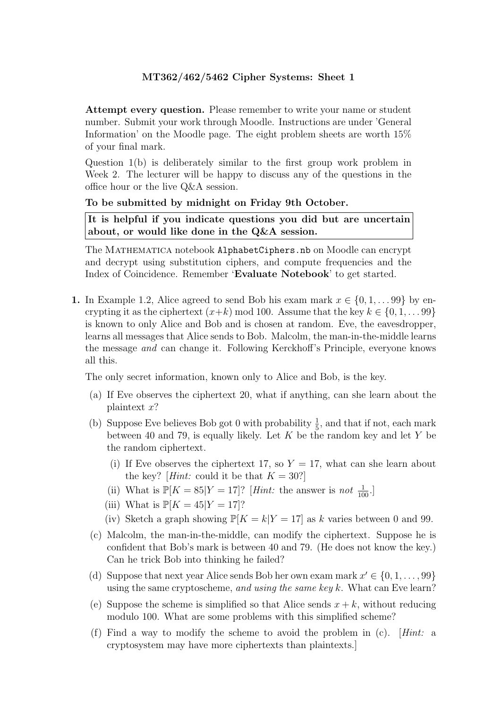Attempt every question. Please remember to write your name or student number. Submit your work through Moodle. Instructions are under 'General Information' on the Moodle page. The eight problem sheets are worth 15% of your final mark.

Question 1(b) is deliberately similar to the first group work problem in Week 2. The lecturer will be happy to discuss any of the questions in the office hour or the live Q&A session.

### To be submitted by midnight on Friday 9th October.

It is helpful if you indicate questions you did but are uncertain about, or would like done in the Q&A session.

The MATHEMATICA notebook AlphabetCiphers.nb on Moodle can encrypt and decrypt using substitution ciphers, and compute frequencies and the Index of Coincidence. Remember 'Evaluate Notebook' to get started.

1. In Example 1.2, Alice agreed to send Bob his exam mark  $x \in \{0, 1, \ldots, 99\}$  by encrypting it as the ciphertext  $(x+k)$  mod 100. Assume that the key  $k \in \{0, 1, \ldots, 99\}$ is known to only Alice and Bob and is chosen at random. Eve, the eavesdropper, learns all messages that Alice sends to Bob. Malcolm, the man-in-the-middle learns the message and can change it. Following Kerckhoff's Principle, everyone knows all this.

The only secret information, known only to Alice and Bob, is the key.

- (a) If Eve observes the ciphertext 20, what if anything, can she learn about the plaintext x?
- (b) Suppose Eve believes Bob got 0 with probability  $\frac{1}{5}$ , and that if not, each mark between 40 and 79, is equally likely. Let  $K$  be the random key and let  $Y$  be the random ciphertext.
	- (i) If Eve observes the ciphertext 17, so  $Y = 17$ , what can she learn about the key? [*Hint:* could it be that  $K = 30$ ?]
	- (ii) What is  $\mathbb{P}[K = 85|Y = 17]$ ? [*Hint:* the answer is not  $\frac{1}{100}$ .]
	- (iii) What is  $\mathbb{P}[K = 45|Y = 17]$ ?
	- (iv) Sketch a graph showing  $\mathbb{P}[K = k|Y = 17]$  as k varies between 0 and 99.
- (c) Malcolm, the man-in-the-middle, can modify the ciphertext. Suppose he is confident that Bob's mark is between 40 and 79. (He does not know the key.) Can he trick Bob into thinking he failed?
- (d) Suppose that next year Alice sends Bob her own exam mark  $x' \in \{0, 1, \ldots, 99\}$ using the same cryptoscheme, and using the same key k. What can Eve learn?
- (e) Suppose the scheme is simplified so that Alice sends  $x + k$ , without reducing modulo 100. What are some problems with this simplified scheme?
- (f) Find a way to modify the scheme to avoid the problem in (c). [Hint: a cryptosystem may have more ciphertexts than plaintexts.]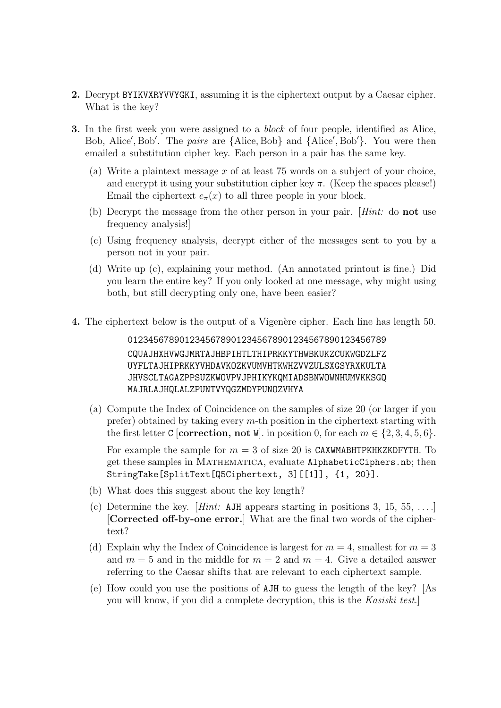- 2. Decrypt BYIKVXRYVVYGKI, assuming it is the ciphertext output by a Caesar cipher. What is the key?
- **3.** In the first week you were assigned to a *block* of four people, identified as Alice, Bob, Alice', Bob'. The *pairs* are  $\{\text{Alice}, \text{Bob}\}$  and  $\{\text{Alice}', \text{Bob}'\}$ . You were then emailed a substitution cipher key. Each person in a pair has the same key.
	- (a) Write a plaintext message x of at least 75 words on a subject of your choice, and encrypt it using your substitution cipher key  $\pi$ . (Keep the spaces please!) Email the ciphertext  $e_{\pi}(x)$  to all three people in your block.
	- (b) Decrypt the message from the other person in your pair. [Hint: do not use frequency analysis!]
	- (c) Using frequency analysis, decrypt either of the messages sent to you by a person not in your pair.
	- (d) Write up (c), explaining your method. (An annotated printout is fine.) Did you learn the entire key? If you only looked at one message, why might using both, but still decrypting only one, have been easier?
- 4. The ciphertext below is the output of a Vigenère cipher. Each line has length 50.

01234567890123456789012345678901234567890123456789 CQUAJHXHVWGJMRTAJHBPIHTLTHIPRKKYTHWBKUKZCUKWGDZLFZ UYFLTAJHIPRKKYVHDAVKOZKVUMVHTKWHZVVZULSXGSYRXKULTA JHVSCLTAGAZPPSUZKWOVPVJPHIKYKQMIADSBNWOWNHUMVKKSGQ MAJRLAJHQLALZPUNTVYQGZMDYPUNOZVHYA

(a) Compute the Index of Coincidence on the samples of size 20 (or larger if you prefer) obtained by taking every  $m$ -th position in the ciphertext starting with the first letter C [correction, not W]. in position 0, for each  $m \in \{2, 3, 4, 5, 6\}$ .

For example the sample for  $m = 3$  of size 20 is CAXWMABHTPKHKZKDFYTH. To get these samples in Mathematica, evaluate AlphabeticCiphers.nb; then StringTake[SplitText[Q5Ciphertext, 3][[1]], {1, 20}].

- (b) What does this suggest about the key length?
- (c) Determine the key. [*Hint*: AJH appears starting in positions 3, 15, 55, ....] [Corrected off-by-one error.] What are the final two words of the ciphertext?
- (d) Explain why the Index of Coincidence is largest for  $m = 4$ , smallest for  $m = 3$ and  $m = 5$  and in the middle for  $m = 2$  and  $m = 4$ . Give a detailed answer referring to the Caesar shifts that are relevant to each ciphertext sample.
- (e) How could you use the positions of AJH to guess the length of the key? [As you will know, if you did a complete decryption, this is the Kasiski test.]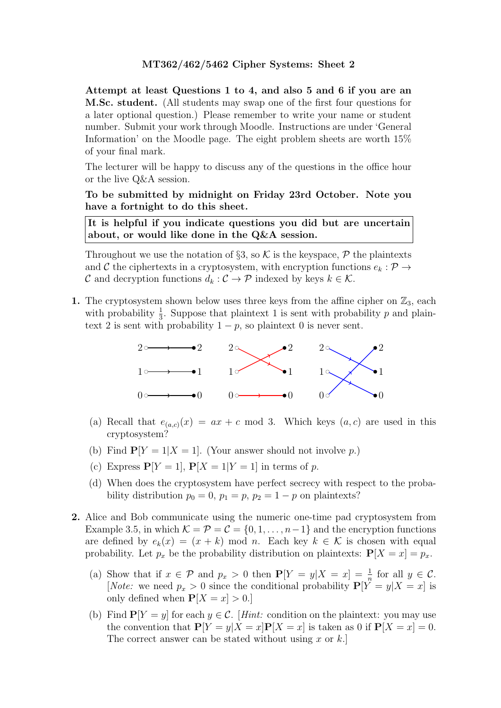Attempt at least Questions 1 to 4, and also 5 and 6 if you are an M.Sc. student. (All students may swap one of the first four questions for a later optional question.) Please remember to write your name or student number. Submit your work through Moodle. Instructions are under 'General Information' on the Moodle page. The eight problem sheets are worth 15% of your final mark.

The lecturer will be happy to discuss any of the questions in the office hour or the live Q&A session.

To be submitted by midnight on Friday 23rd October. Note you have a fortnight to do this sheet.

It is helpful if you indicate questions you did but are uncertain about, or would like done in the Q&A session.

Throughout we use the notation of §3, so  $K$  is the keyspace,  $\mathcal P$  the plaintexts and C the ciphertexts in a cryptosystem, with encryption functions  $e_k : \mathcal{P} \to$ C and decryption functions  $d_k : C \to \mathcal{P}$  indexed by keys  $k \in \mathcal{K}$ .

1. The cryptosystem shown below uses three keys from the affine cipher on  $\mathbb{Z}_3$ , each with probability  $\frac{1}{3}$ . Suppose that plaintext 1 is sent with probability p and plaintext 2 is sent with probability  $1 - p$ , so plaintext 0 is never sent.



- (a) Recall that  $e_{(a,c)}(x) = ax + c \mod 3$ . Which keys  $(a, c)$  are used in this cryptosystem?
- (b) Find  $P[Y = 1 | X = 1]$ . (Your answer should not involve p.)
- (c) Express  $P[Y = 1]$ ,  $P[X = 1 | Y = 1]$  in terms of p.
- (d) When does the cryptosystem have perfect secrecy with respect to the probability distribution  $p_0 = 0$ ,  $p_1 = p$ ,  $p_2 = 1 - p$  on plaintexts?
- 2. Alice and Bob communicate using the numeric one-time pad cryptosystem from Example 3.5, in which  $\mathcal{K} = \mathcal{P} = \mathcal{C} = \{0, 1, \ldots, n-1\}$  and the encryption functions are defined by  $e_k(x) = (x + k) \mod n$ . Each key  $k \in \mathcal{K}$  is chosen with equal probability. Let  $p_x$  be the probability distribution on plaintexts:  $P[X = x] = p_x$ .
	- (a) Show that if  $x \in \mathcal{P}$  and  $p_x > 0$  then  $\mathbf{P}[Y = y | X = x] = \frac{1}{n}$  for all  $y \in \mathcal{C}$ . [*Note:* we need  $p_x > 0$  since the conditional probability  $P[Y^{\dagger} = y | X = x]$  is only defined when  $P[X = x] > 0$ .
	- (b) Find  $P[Y = y]$  for each  $y \in \mathcal{C}$ . [Hint: condition on the plaintext: you may use the convention that  $P[Y = y | X = x]P[X = x]$  is taken as 0 if  $P[X = x] = 0$ . The correct answer can be stated without using x or  $k$ .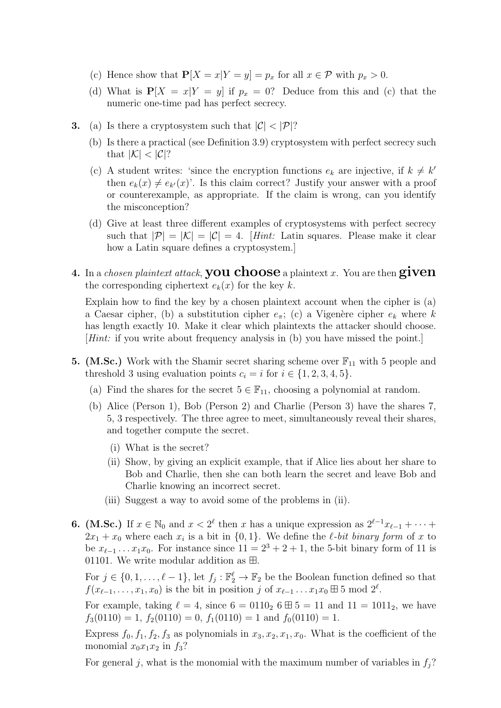- (c) Hence show that  $P[X = x|Y = y] = p_x$  for all  $x \in \mathcal{P}$  with  $p_x > 0$ .
- (d) What is  $P[X = x|Y = y]$  if  $p_x = 0$ ? Deduce from this and (c) that the numeric one-time pad has perfect secrecy.
- **3.** (a) Is there a cryptosystem such that  $|\mathcal{C}| < |\mathcal{P}|$ ?
	- (b) Is there a practical (see Definition 3.9) cryptosystem with perfect secrecy such that  $|\mathcal{K}| < |\mathcal{C}|$ ?
	- (c) A student writes: 'since the encryption functions  $e_k$  are injective, if  $k \neq k'$ then  $e_k(x) \neq e_{k'}(x)$ . Is this claim correct? Justify your answer with a proof or counterexample, as appropriate. If the claim is wrong, can you identify the misconception?
	- (d) Give at least three different examples of cryptosystems with perfect secrecy such that  $|\mathcal{P}| = |\mathcal{K}| = |\mathcal{C}| = 4$ . [Hint: Latin squares. Please make it clear how a Latin square defines a cryptosystem.]
- 4. In a *chosen plaintext attack*, **you choose** a plaintext x. You are then  $given$ the corresponding ciphertext  $e_k(x)$  for the key k.

Explain how to find the key by a chosen plaintext account when the cipher is (a) a Caesar cipher, (b) a substitution cipher  $e_{\pi}$ ; (c) a Vigenère cipher  $e_k$  where k has length exactly 10. Make it clear which plaintexts the attacker should choose. [Hint: if you write about frequency analysis in (b) you have missed the point.]

- **5.** (M.Sc.) Work with the Shamir secret sharing scheme over  $\mathbb{F}_{11}$  with 5 people and threshold 3 using evaluation points  $c_i = i$  for  $i \in \{1, 2, 3, 4, 5\}.$ 
	- (a) Find the shares for the secret  $5 \in \mathbb{F}_{11}$ , choosing a polynomial at random.
	- (b) Alice (Person 1), Bob (Person 2) and Charlie (Person 3) have the shares 7, 5, 3 respectively. The three agree to meet, simultaneously reveal their shares, and together compute the secret.
		- (i) What is the secret?
		- (ii) Show, by giving an explicit example, that if Alice lies about her share to Bob and Charlie, then she can both learn the secret and leave Bob and Charlie knowing an incorrect secret.
		- (iii) Suggest a way to avoid some of the problems in (ii).
- **6.** (**M.Sc.**) If  $x \in \mathbb{N}_0$  and  $x < 2^{\ell}$  then x has a unique expression as  $2^{\ell-1}x_{\ell-1} + \cdots$  $2x_1 + x_0$  where each  $x_i$  is a bit in  $\{0, 1\}$ . We define the  $\ell$ -bit binary form of x to be  $x_{\ell-1}$ ...  $x_1x_0$ . For instance since  $11 = 2^3 + 2 + 1$ , the 5-bit binary form of 11 is 01101. We write modular addition as  $\boxplus$ .

For  $j \in \{0, 1, \ldots, \ell - 1\}$ , let  $f_j : \mathbb{F}_2^{\ell} \to \mathbb{F}_2$  be the Boolean function defined so that  $f(x_{\ell-1}, \ldots, x_1, x_0)$  is the bit in position j of  $x_{\ell-1} \ldots x_1 x_0 \boxplus 5 \mod 2^{\ell}$ .

For example, taking  $\ell = 4$ , since  $6 = 0110_2$   $6 \boxplus 5 = 11$  and  $11 = 1011_2$ , we have  $f_3(0110) = 1, f_2(0110) = 0, f_1(0110) = 1$  and  $f_0(0110) = 1$ .

Express  $f_0, f_1, f_2, f_3$  as polynomials in  $x_3, x_2, x_1, x_0$ . What is the coefficient of the monomial  $x_0x_1x_2$  in  $f_3$ ?

For general j, what is the monomial with the maximum number of variables in  $f_i$ ?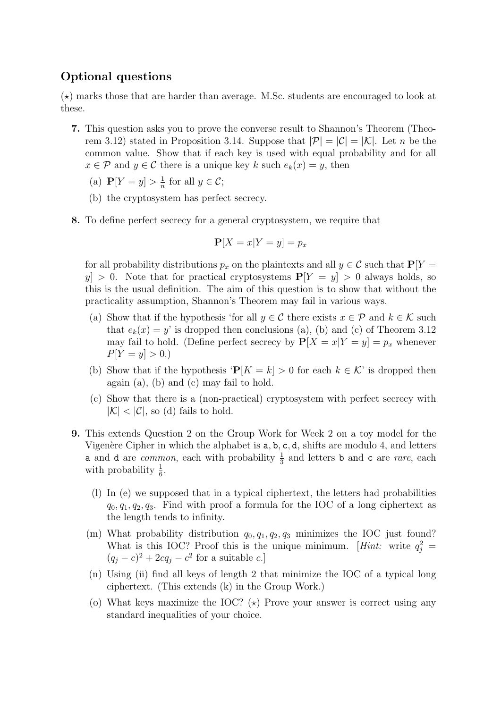# Optional questions

 $(\star)$  marks those that are harder than average. M.Sc. students are encouraged to look at these.

- 7. This question asks you to prove the converse result to Shannon's Theorem (Theorem 3.12) stated in Proposition 3.14. Suppose that  $|\mathcal{P}| = |\mathcal{C}| = |\mathcal{K}|$ . Let n be the common value. Show that if each key is used with equal probability and for all  $x \in \mathcal{P}$  and  $y \in \mathcal{C}$  there is a unique key k such  $e_k(x) = y$ , then
	- (a)  $P[Y = y] > \frac{1}{n}$  $\frac{1}{n}$  for all  $y \in \mathcal{C}$ ;
	- (b) the cryptosystem has perfect secrecy.
- 8. To define perfect secrecy for a general cryptosystem, we require that

$$
\mathbf{P}[X=x|Y=y] = p_x
$$

for all probability distributions  $p_x$  on the plaintexts and all  $y \in \mathcal{C}$  such that  $P[Y =$  $y \geq 0$ . Note that for practical cryptosystems  $P[Y = y] > 0$  always holds, so this is the usual definition. The aim of this question is to show that without the practicality assumption, Shannon's Theorem may fail in various ways.

- (a) Show that if the hypothesis 'for all  $y \in \mathcal{C}$  there exists  $x \in \mathcal{P}$  and  $k \in \mathcal{K}$  such that  $e_k(x) = y$  is dropped then conclusions (a), (b) and (c) of Theorem 3.12 may fail to hold. (Define perfect secrecy by  $P[X = x|Y = y] = p_x$  whenever  $P[Y = y] > 0.$
- (b) Show that if the hypothesis ' $P[K = k] > 0$  for each  $k \in \mathcal{K}$ ' is dropped then again (a), (b) and (c) may fail to hold.
- (c) Show that there is a (non-practical) cryptosystem with perfect secrecy with  $|\mathcal{K}| < |\mathcal{C}|$ , so (d) fails to hold.
- 9. This extends Question 2 on the Group Work for Week 2 on a toy model for the Vigenère Cipher in which the alphabet is  $a, b, c, d$ , shifts are modulo 4, and letters **a** and **d** are *common*, each with probability  $\frac{1}{3}$  and letters **b** and **c** are *rare*, each with probability  $\frac{1}{6}$ .
	- (l) In (e) we supposed that in a typical ciphertext, the letters had probabilities  $q_0, q_1, q_2, q_3$ . Find with proof a formula for the IOC of a long ciphertext as the length tends to infinity.
	- (m) What probability distribution  $q_0, q_1, q_2, q_3$  minimizes the IOC just found? What is this IOC? Proof this is the unique minimum. [*Hint*: write  $q_j^2$  =  $(q_j - c)^2 + 2cq_j - c^2$  for a suitable c.]
	- (n) Using (ii) find all keys of length 2 that minimize the IOC of a typical long ciphertext. (This extends (k) in the Group Work.)
	- (o) What keys maximize the IOC?  $(\star)$  Prove your answer is correct using any standard inequalities of your choice.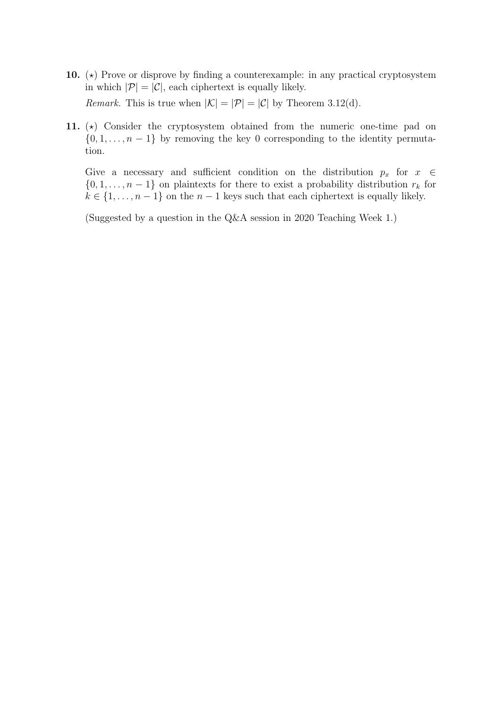- 10.  $(\star)$  Prove or disprove by finding a counterexample: in any practical cryptosystem in which  $|\mathcal{P}| = |\mathcal{C}|$ , each ciphertext is equally likely. *Remark.* This is true when  $|\mathcal{K}| = |\mathcal{P}| = |\mathcal{C}|$  by Theorem 3.12(d).
- 11.  $(\star)$  Consider the cryptosystem obtained from the numeric one-time pad on  $\{0, 1, \ldots, n-1\}$  by removing the key 0 corresponding to the identity permutation.

Give a necessary and sufficient condition on the distribution  $p_x$  for  $x \in \mathbb{R}$  $\{0, 1, \ldots, n-1\}$  on plaintexts for there to exist a probability distribution  $r_k$  for  $k \in \{1, \ldots, n-1\}$  on the  $n-1$  keys such that each ciphertext is equally likely.

(Suggested by a question in the Q&A session in 2020 Teaching Week 1.)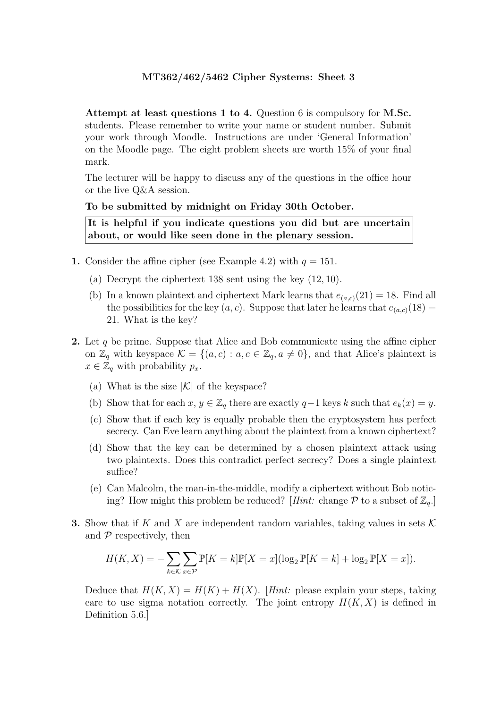Attempt at least questions 1 to 4. Question 6 is compulsory for M.Sc. students. Please remember to write your name or student number. Submit your work through Moodle. Instructions are under 'General Information' on the Moodle page. The eight problem sheets are worth 15% of your final mark.

The lecturer will be happy to discuss any of the questions in the office hour or the live Q&A session.

#### To be submitted by midnight on Friday 30th October.

It is helpful if you indicate questions you did but are uncertain about, or would like seen done in the plenary session.

- 1. Consider the affine cipher (see Example 4.2) with  $q = 151$ .
	- (a) Decrypt the ciphertext 138 sent using the key (12, 10).
	- (b) In a known plaintext and ciphertext Mark learns that  $e_{(a,c)}(21) = 18$ . Find all the possibilities for the key  $(a, c)$ . Suppose that later he learns that  $e_{(a, c)}(18) =$ 21. What is the key?
- 2. Let q be prime. Suppose that Alice and Bob communicate using the affine cipher on  $\mathbb{Z}_q$  with keyspace  $\mathcal{K} = \{(a, c) : a, c \in \mathbb{Z}_q, a \neq 0\}$ , and that Alice's plaintext is  $x \in \mathbb{Z}_q$  with probability  $p_x$ .
	- (a) What is the size  $|\mathcal{K}|$  of the keyspace?
	- (b) Show that for each  $x, y \in \mathbb{Z}_q$  there are exactly  $q-1$  keys k such that  $e_k(x) = y$ .
	- (c) Show that if each key is equally probable then the cryptosystem has perfect secrecy. Can Eve learn anything about the plaintext from a known ciphertext?
	- (d) Show that the key can be determined by a chosen plaintext attack using two plaintexts. Does this contradict perfect secrecy? Does a single plaintext suffice?
	- (e) Can Malcolm, the man-in-the-middle, modify a ciphertext without Bob noticing? How might this problem be reduced? [Hint: change  $P$  to a subset of  $\mathbb{Z}_q$ .]
- **3.** Show that if K and X are independent random variables, taking values in sets  $\mathcal{K}$ and  $\mathcal P$  respectively, then

$$
H(K, X) = -\sum_{k \in \mathcal{K}} \sum_{x \in \mathcal{P}} \mathbb{P}[K = k] \mathbb{P}[X = x] (\log_2 \mathbb{P}[K = k] + \log_2 \mathbb{P}[X = x]).
$$

Deduce that  $H(K, X) = H(K) + H(X)$ . [Hint: please explain your steps, taking care to use sigma notation correctly. The joint entropy  $H(K, X)$  is defined in Definition 5.6.]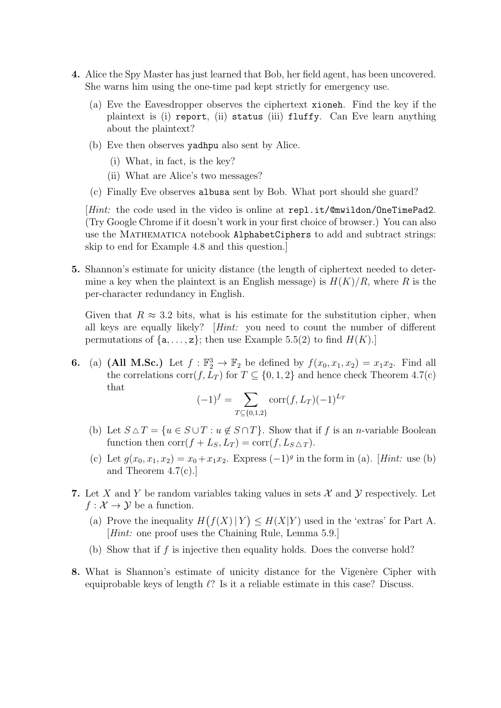- 4. Alice the Spy Master has just learned that Bob, her field agent, has been uncovered. She warns him using the one-time pad kept strictly for emergency use.
	- (a) Eve the Eavesdropper observes the ciphertext xioneh. Find the key if the plaintext is (i) report, (ii) status (iii) fluffy. Can Eve learn anything about the plaintext?
	- (b) Eve then observes yadhpu also sent by Alice.
		- (i) What, in fact, is the key?
		- (ii) What are Alice's two messages?
	- (c) Finally Eve observes albusa sent by Bob. What port should she guard?

[Hint: the code used in the video is online at repl.it/@mwildon/OneTimePad2. (Try Google Chrome if it doesn't work in your first choice of browser.) You can also use the MATHEMATICA notebook AlphabetCiphers to add and subtract strings: skip to end for Example 4.8 and this question.]

5. Shannon's estimate for unicity distance (the length of ciphertext needed to determine a key when the plaintext is an English message) is  $H(K)/R$ , where R is the per-character redundancy in English.

Given that  $R \approx 3.2$  bits, what is his estimate for the substitution cipher, when all keys are equally likely? [Hint: you need to count the number of different permutations of  $\{a, \ldots, z\}$ ; then use Example 5.5(2) to find  $H(K)$ .

**6.** (a) (All M.Sc.) Let  $f : \mathbb{F}_2^3 \to \mathbb{F}_2$  be defined by  $f(x_0, x_1, x_2) = x_1 x_2$ . Find all the correlations corr $(f, L_T)$  for  $T \subseteq \{0, 1, 2\}$  and hence check Theorem 4.7(c) that

$$
(-1)^f = \sum_{T \subseteq \{0,1,2\}} \text{corr}(f, L_T) (-1)^{L_T}
$$

- (b) Let  $S \triangle T = \{u \in S \cup T : u \notin S \cap T\}$ . Show that if f is an n-variable Boolean function then  $\text{corr}(f + L_S, L_T) = \text{corr}(f, L_S \triangle_T)$ .
- (c) Let  $g(x_0, x_1, x_2) = x_0 + x_1 x_2$ . Express  $(-1)^g$  in the form in (a). [*Hint*: use (b) and Theorem 4.7(c).]
- 7. Let X and Y be random variables taking values in sets X and Y respectively. Let  $f: \mathcal{X} \to \mathcal{Y}$  be a function.
	- (a) Prove the inequality  $H(f(X)|Y) \leq H(X|Y)$  used in the 'extras' for Part A. [Hint: one proof uses the Chaining Rule, Lemma 5.9.]
	- (b) Show that if f is injective then equality holds. Does the converse hold?
- 8. What is Shannon's estimate of unicity distance for the Vigenère Cipher with equiprobable keys of length  $\ell$ ? Is it a reliable estimate in this case? Discuss.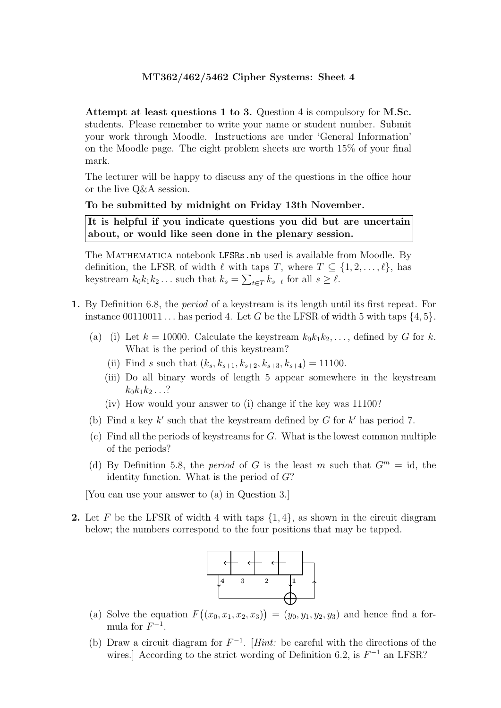Attempt at least questions 1 to 3. Question 4 is compulsory for M.Sc. students. Please remember to write your name or student number. Submit your work through Moodle. Instructions are under 'General Information' on the Moodle page. The eight problem sheets are worth 15% of your final mark.

The lecturer will be happy to discuss any of the questions in the office hour or the live Q&A session.

#### To be submitted by midnight on Friday 13th November.

It is helpful if you indicate questions you did but are uncertain about, or would like seen done in the plenary session.

The MATHEMATICA notebook LFSRs.nb used is available from Moodle. By definition, the LFSR of width  $\ell$  with taps T, where  $T \subseteq \{1, 2, \ldots, \ell\}$ , has keystream  $k_0 k_1 k_2 \dots$  such that  $k_s = \sum_{t \in T} k_{s-t}$  for all  $s \ge \ell$ .

- 1. By Definition 6.8, the period of a keystream is its length until its first repeat. For instance 00110011... has period 4. Let G be the LFSR of width 5 with taps  $\{4, 5\}$ .
	- (a) (i) Let  $k = 10000$ . Calculate the keystream  $k_0k_1k_2,\ldots$ , defined by G for k. What is the period of this keystream?
		- (ii) Find s such that  $(k_s, k_{s+1}, k_{s+2}, k_{s+3}, k_{s+4}) = 11100$ .
		- (iii) Do all binary words of length 5 appear somewhere in the keystream  $k_0k_1k_2...$ ?
		- (iv) How would your answer to (i) change if the key was 11100?
	- (b) Find a key  $k'$  such that the keystream defined by G for  $k'$  has period 7.
	- $(c)$  Find all the periods of keystreams for G. What is the lowest common multiple of the periods?
	- (d) By Definition 5.8, the *period* of G is the least m such that  $G<sup>m</sup> = id$ , the identity function. What is the period of G?

[You can use your answer to (a) in Question 3.]

2. Let F be the LFSR of width 4 with taps  $\{1,4\}$ , as shown in the circuit diagram below; the numbers correspond to the four positions that may be tapped.



- (a) Solve the equation  $F((x_0, x_1, x_2, x_3)) = (y_0, y_1, y_2, y_3)$  and hence find a formula for  $F^{-1}$ .
- (b) Draw a circuit diagram for  $F^{-1}$ . [Hint: be careful with the directions of the wires.] According to the strict wording of Definition 6.2, is  $F^{-1}$  an LFSR?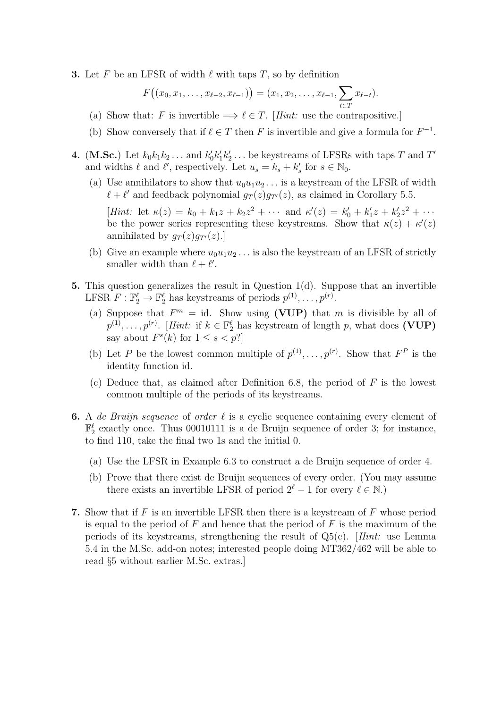**3.** Let F be an LFSR of width  $\ell$  with taps T, so by definition

$$
F((x_0,x_1,\ldots,x_{\ell-2},x_{\ell-1}))=(x_1,x_2,\ldots,x_{\ell-1},\sum_{t\in T}x_{\ell-t}).
$$

- (a) Show that: F is invertible  $\Longrightarrow \ell \in T$ . [Hint: use the contrapositive.]
- (b) Show conversely that if  $\ell \in T$  then F is invertible and give a formula for  $F^{-1}$ .
- **4.** (M.Sc.) Let  $k_0 k_1 k_2 \ldots$  and  $k'_0 k'_1 k'_2 \ldots$  be keystreams of LFSRs with taps T and T' and widths  $\ell$  and  $\ell'$ , respectively. Let  $u_s = k_s + k'_s$  for  $s \in \mathbb{N}_0$ .
	- (a) Use annihilators to show that  $u_0u_1u_2\ldots$  is a keystream of the LFSR of width  $\ell + \ell'$  and feedback polynomial  $g_T(z)g_{T'}(z)$ , as claimed in Corollary 5.5.

[Hint: let  $\kappa(z) = k_0 + k_1 z + k_2 z^2 + \cdots$  and  $\kappa'(z) = k'_0 + k'_1 z + k'_2 z^2 + \cdots$ be the power series representing these keystreams. Show that  $\kappa(z) + \kappa'(z)$ annihilated by  $q_T(z)q_{T}(z)$ .

- (b) Give an example where  $u_0u_1u_2\ldots$  is also the keystream of an LFSR of strictly smaller width than  $\ell + \ell'$ .
- 5. This question generalizes the result in Question 1(d). Suppose that an invertible LFSR  $F: \mathbb{F}_2^{\ell} \to \mathbb{F}_2^{\ell}$  has keystreams of periods  $p^{(1)}, \ldots, p^{(r)}$ .
	- (a) Suppose that  $F^m = id$ . Show using (VUP) that m is divisible by all of  $p^{(1)}, \ldots, p^{(r)}$ . [Hint: if  $k \in \mathbb{F}_2^{\ell}$  has keystream of length p, what does (VUP) say about  $F<sup>s</sup>(k)$  for  $1 \leq s < p$ ?
	- (b) Let P be the lowest common multiple of  $p^{(1)}, \ldots, p^{(r)}$ . Show that  $F^P$  is the identity function id.
	- (c) Deduce that, as claimed after Definition 6.8, the period of  $F$  is the lowest common multiple of the periods of its keystreams.
- **6.** A de Bruijn sequence of order  $\ell$  is a cyclic sequence containing every element of  $\mathbb{F}_2^{\ell}$  exactly once. Thus 00010111 is a de Bruijn sequence of order 3; for instance, to find 110, take the final two 1s and the initial 0.
	- (a) Use the LFSR in Example 6.3 to construct a de Bruijn sequence of order 4.
	- (b) Prove that there exist de Bruijn sequences of every order. (You may assume there exists an invertible LFSR of period  $2^{\ell} - 1$  for every  $\ell \in \mathbb{N}$ .)
- 7. Show that if  $F$  is an invertible LFSR then there is a keystream of  $F$  whose period is equal to the period of  $F$  and hence that the period of  $F$  is the maximum of the periods of its keystreams, strengthening the result of  $Q5(c)$ . [Hint: use Lemma 5.4 in the M.Sc. add-on notes; interested people doing MT362/462 will be able to read §5 without earlier M.Sc. extras.]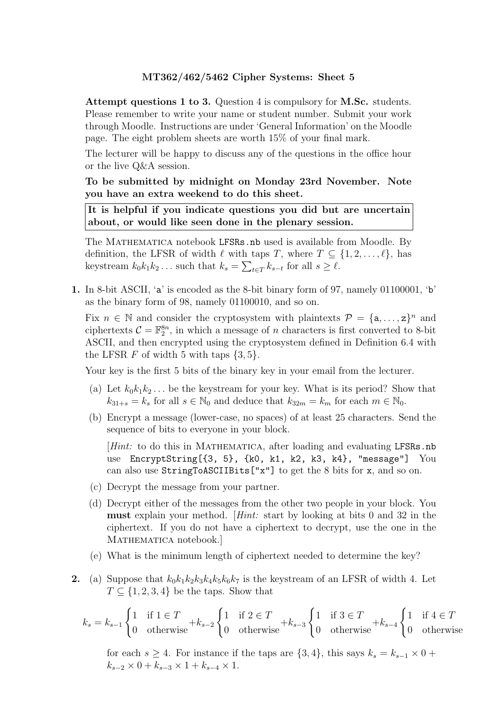Attempt questions 1 to 3. Question 4 is compulsory for M.Sc. students. Please remember to write your name or student number. Submit your work through Moodle. Instructions are under 'General Information' on the Moodle page. The eight problem sheets are worth 15% of your final mark.

The lecturer will be happy to discuss any of the questions in the office hour or the live Q&A session.

To be submitted by midnight on Monday 23rd November. Note you have an extra weekend to do this sheet.

It is helpful if you indicate questions you did but are uncertain about, or would like seen done in the plenary session.

The MATHEMATICA notebook LFSRs.nb used is available from Moodle. By definition, the LFSR of width  $\ell$  with taps T, where  $T \subseteq \{1, 2, \ldots, \ell\}$ , has keystream  $k_0 k_1 k_2 \dots$  such that  $k_s = \sum_{t \in T} k_{s-t}$  for all  $s \ge \ell$ .

1. In 8-bit ASCII, 'a' is encoded as the 8-bit binary form of 97, namely 01100001, 'b' as the binary form of 98, namely 01100010, and so on.

Fix  $n \in \mathbb{N}$  and consider the cryptosystem with plaintexts  $\mathcal{P} = \{\mathsf{a}, \ldots, \mathsf{z}\}^n$  and ciphertexts  $C = \mathbb{F}_2^{8n}$ , in which a message of *n* characters is first converted to 8-bit ASCII, and then encrypted using the cryptosystem defined in Definition 6.4 with the LFSR  $F$  of width 5 with taps  $\{3, 5\}.$ 

Your key is the first 5 bits of the binary key in your email from the lecturer.

- (a) Let  $k_0k_1k_2...$  be the keystream for your key. What is its period? Show that  $k_{31+s} = k_s$  for all  $s \in \mathbb{N}_0$  and deduce that  $k_{32m} = k_m$  for each  $m \in \mathbb{N}_0$ .
- (b) Encrypt a message (lower-case, no spaces) of at least 25 characters. Send the sequence of bits to everyone in your block.

[Hint: to do this in MATHEMATICA, after loading and evaluating LFSRs.nb use EncryptString[{3, 5}, {k0, k1, k2, k3, k4}, "message"] You can also use StringToASCIIBits["x"] to get the 8 bits for x, and so on.

- (c) Decrypt the message from your partner.
- (d) Decrypt either of the messages from the other two people in your block. You must explain your method. [Hint: start by looking at bits 0 and 32 in the ciphertext. If you do not have a ciphertext to decrypt, use the one in the MATHEMATICA notebook.]
- (e) What is the minimum length of ciphertext needed to determine the key?
- 2. (a) Suppose that  $k_0k_1k_2k_3k_4k_5k_6k_7$  is the keystream of an LFSR of width 4. Let  $T \subseteq \{1, 2, 3, 4\}$  be the taps. Show that

$$
k_s = k_{s-1} \begin{cases} 1 & \text{if } 1 \in T \\ 0 & \text{otherwise} \end{cases} + k_{s-2} \begin{cases} 1 & \text{if } 2 \in T \\ 0 & \text{otherwise} \end{cases} + k_{s-3} \begin{cases} 1 & \text{if } 3 \in T \\ 0 & \text{otherwise} \end{cases} + k_{s-4} \begin{cases} 1 & \text{if } 4 \in T \\ 0 & \text{otherwise} \end{cases}
$$

for each  $s \geq 4$ . For instance if the taps are  $\{3, 4\}$ , this says  $k_s = k_{s-1} \times 0 +$  $k_{s-2} \times 0 + k_{s-3} \times 1 + k_{s-4} \times 1$ .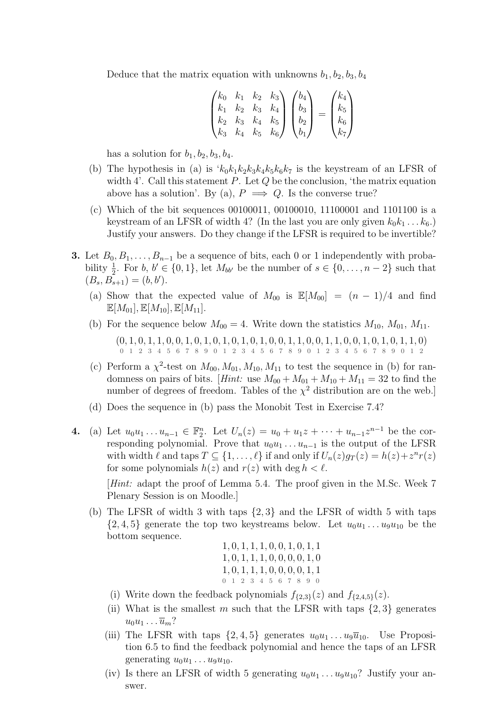Deduce that the matrix equation with unknowns  $b_1, b_2, b_3, b_4$ 

$$
\begin{pmatrix} k_0 & k_1 & k_2 & k_3 \ k_1 & k_2 & k_3 & k_4 \ k_2 & k_3 & k_4 & k_5 \ k_3 & k_4 & k_5 & k_6 \end{pmatrix} \begin{pmatrix} b_4 \ b_3 \ b_2 \ b_1 \end{pmatrix} = \begin{pmatrix} k_4 \ k_5 \ k_6 \ k_7 \end{pmatrix}
$$

has a solution for  $b_1$ ,  $b_2$ ,  $b_3$ ,  $b_4$ .

- (b) The hypothesis in (a) is  $k_0k_1k_2k_3k_4k_5k_6k_7$  is the keystream of an LFSR of width 4'. Call this statement  $P$ . Let  $Q$  be the conclusion, 'the matrix equation above has a solution'. By (a),  $P \implies Q$ . Is the converse true?
- (c) Which of the bit sequences 00100011, 00100010, 11100001 and 1101100 is a keystream of an LFSR of width 4? (In the last you are only given  $k_0k_1 \ldots k_6$ .) Justify your answers. Do they change if the LFSR is required to be invertible?
- **3.** Let  $B_0, B_1, \ldots, B_{n-1}$  be a sequence of bits, each 0 or 1 independently with probability  $\frac{1}{2}$ . For b,  $b' \in \{0,1\}$ , let  $M_{bb'}$  be the number of  $s \in \{0,\ldots,n-2\}$  such that  $(B_s, B_{s+1}) = (b, b').$ 
	- (a) Show that the expected value of  $M_{00}$  is  $\mathbb{E}[M_{00}] = (n-1)/4$  and find  $\mathbb{E}[M_{01}], \mathbb{E}[M_{10}], \mathbb{E}[M_{11}].$
	- (b) For the sequence below  $M_{00} = 4$ . Write down the statistics  $M_{10}$ ,  $M_{01}$ ,  $M_{11}$ .  $(0, 1, 0, 1, 1, 0, 0, 1, 0, 1, 0, 1, 0, 1, 0, 1, 0, 0, 1, 1, 0, 0, 1, 1, 0, 0, 1, 1, 0, 1, 1, 0)$ 0 1 2 3 4 5 6 7 8 9 0 1 2 3 4 5 6 7 8 9 0 1 2 3 4 5 6 7 8 9 0 1 2
	- (c) Perform a  $\chi^2$ -test on  $M_{00}$ ,  $M_{01}$ ,  $M_{10}$ ,  $M_{11}$  to test the sequence in (b) for randomness on pairs of bits. [Hint: use  $M_{00} + M_{01} + M_{10} + M_{11} = 32$  to find the number of degrees of freedom. Tables of the  $\chi^2$  distribution are on the web.
	- (d) Does the sequence in (b) pass the Monobit Test in Exercise 7.4?
- 4. (a) Let  $u_0u_1 \ldots u_{n-1} \in \mathbb{F}_2^n$ . Let  $U_n(z) = u_0 + u_1z + \cdots + u_{n-1}z^{n-1}$  be the corresponding polynomial. Prove that  $u_0u_1 \ldots u_{n-1}$  is the output of the LFSR with width  $\ell$  and taps  $T \subseteq \{1, \ldots, \ell\}$  if and only if  $U_n(z)g_T(z) = h(z)+z^n r(z)$ for some polynomials  $h(z)$  and  $r(z)$  with deg  $h < \ell$ .

[Hint: adapt the proof of Lemma 5.4. The proof given in the M.Sc. Week 7 Plenary Session is on Moodle.]

(b) The LFSR of width 3 with taps {2, 3} and the LFSR of width 5 with taps  $\{2,4,5\}$  generate the top two keystreams below. Let  $u_0u_1 \ldots u_9u_{10}$  be the bottom sequence.

, 0, 1, 1, 1, 0, 0, 1, 0, 1, 1 , 0, 1, 1, 1, 0, 0, 0, 0, 1, 0 , 0, 1, 1, 1, 0, 0, 0, 0, 1, 1 0 1 2 3 4 5 6 7 8 9 0

- (i) Write down the feedback polynomials  $f_{\{2,3\}}(z)$  and  $f_{\{2,4,5\}}(z)$ .
- (ii) What is the smallest m such that the LFSR with taps  $\{2,3\}$  generates  $u_0u_1 \ldots \overline{u}_m$ ?
- (iii) The LFSR with taps  $\{2, 4, 5\}$  generates  $u_0u_1 \ldots u_9\overline{u}_{10}$ . Use Proposition 6.5 to find the feedback polynomial and hence the taps of an LFSR generating  $u_0u_1 \ldots u_9u_{10}$ .
- (iv) Is there an LFSR of width 5 generating  $u_0u_1 \ldots u_9u_{10}$ ? Justify your answer.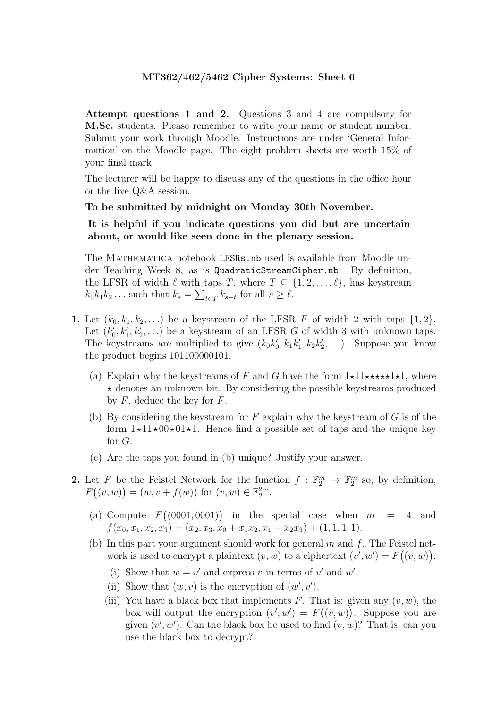Attempt questions 1 and 2. Questions 3 and 4 are compulsory for M.Sc. students. Please remember to write your name or student number. Submit your work through Moodle. Instructions are under 'General Information' on the Moodle page. The eight problem sheets are worth 15% of your final mark.

The lecturer will be happy to discuss any of the questions in the office hour or the live Q&A session.

#### To be submitted by midnight on Monday 30th November.

It is helpful if you indicate questions you did but are uncertain about, or would like seen done in the plenary session.

The MATHEMATICA notebook LFSRs.nb used is available from Moodle under Teaching Week 8, as is QuadraticStreamCipher.nb. By definition, the LFSR of width  $\ell$  with taps T, where  $T \subseteq \{1, 2, \ldots, \ell\}$ , has keystream  $k_0 k_1 k_2 \dots$  such that  $k_s = \sum_{t \in T} k_{s-t}$  for all  $s \geq \ell$ .

- 1. Let  $(k_0, k_1, k_2, \ldots)$  be a keystream of the LFSR F of width 2 with taps  $\{1, 2\}$ . Let  $(k'_0, k'_1, k'_2, \ldots)$  be a keystream of an LFSR G of width 3 with unknown taps. The keystreams are multiplied to give  $(k_0k'_0, k_1k'_1, k_2k'_2,...)$ . Suppose you know the product begins 101100000101.
	- (a) Explain why the keystreams of F and G have the form  $1\star11\star\star\star\star1\star1$ , where  $\star$  denotes an unknown bit. By considering the possible keystreams produced by  $F$ , deduce the key for  $F$ .
	- (b) By considering the keystream for  $F$  explain why the keystream of  $G$  is of the form  $1\star11\star00\star01\star1$ . Hence find a possible set of taps and the unique key for G.
	- (c) Are the taps you found in (b) unique? Justify your answer.
- 2. Let F be the Feistel Network for the function  $f : \mathbb{F}_2^m \to \mathbb{F}_2^m$  so, by definition,  $F((v, w)) = (w, v + f(w))$  for  $(v, w) \in \mathbb{F}_2^{2m}$ .
	- (a) Compute  $F((0001, 0001))$  in the special case when  $m = 4$  and  $f(x_0, x_1, x_2, x_3) = (x_2, x_3, x_0 + x_1x_2, x_1 + x_2x_3) + (1, 1, 1, 1).$
	- (b) In this part your argument should work for general  $m$  and  $f$ . The Feistel network is used to encrypt a plaintext  $(v, w)$  to a ciphertext  $(v', w') = F((v, w))$ .
		- (i) Show that  $w = v'$  and express v in terms of v' and w'.
		- (ii) Show that  $(w, v)$  is the encryption of  $(w', v')$ .
		- (iii) You have a black box that implements F. That is: given any  $(v, w)$ , the box will output the encryption  $(v', w') = F((v, w))$ . Suppose you are given  $(v', w')$ . Can the black box be used to find  $(v, w)$ ? That is, can you use the black box to decrypt?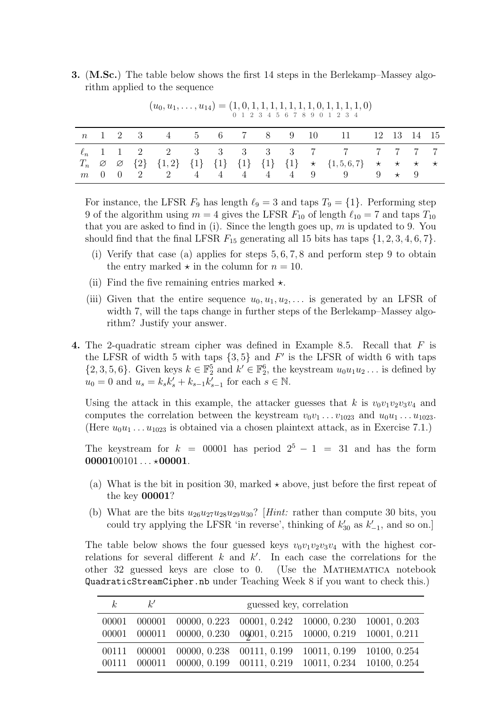3. (M.Sc.) The table below shows the first 14 steps in the Berlekamp–Massey algorithm applied to the sequence

|  |  |  |  |  | n 1 2 3 4 5 6 7 8 9 10 11 12 13 14 15                                                                                   |  |  |
|--|--|--|--|--|-------------------------------------------------------------------------------------------------------------------------|--|--|
|  |  |  |  |  | $\ell_n$ 1 1 2 2 3 3 3 3 3 7 7 7 7 7 7                                                                                  |  |  |
|  |  |  |  |  | $T_n \propto \propto \{2\} \{1,2\} \{1\} \{1\} \{1\} \{1\} \{1\} \star \{1,5,6,7\} \star \star \star \star \star$       |  |  |
|  |  |  |  |  | $m \quad 0 \quad 0 \quad 2 \quad 2 \quad 4 \quad 4 \quad 4 \quad 4 \quad 4 \quad 9 \quad 9 \quad 9 \quad \star \quad 9$ |  |  |

 $(u_0, u_1, \ldots, u_{14}) = (1, 0, 1, 1, 1, 1, 1, 1, 0, 1, 1, 1, 1, 0)$ 0 1 2 3 4 5 6 7 8 9 0 1 2 3 4

For instance, the LFSR  $F_9$  has length  $\ell_9 = 3$  and taps  $T_9 = \{1\}$ . Performing step 9 of the algorithm using  $m = 4$  gives the LFSR  $F_{10}$  of length  $\ell_{10} = 7$  and taps  $T_{10}$ that you are asked to find in (i). Since the length goes up,  $m$  is updated to 9. You should find that the final LFSR  $F_{15}$  generating all 15 bits has taps  $\{1, 2, 3, 4, 6, 7\}$ .

- (i) Verify that case (a) applies for steps 5, 6, 7, 8 and perform step 9 to obtain the entry marked  $\star$  in the column for  $n = 10$ .
- (ii) Find the five remaining entries marked  $\star$ .
- (iii) Given that the entire sequence  $u_0, u_1, u_2, \ldots$  is generated by an LFSR of width 7, will the taps change in further steps of the Berlekamp–Massey algorithm? Justify your answer.
- 4. The 2-quadratic stream cipher was defined in Example 8.5. Recall that F is the LFSR of width 5 with taps  $\{3,5\}$  and F' is the LFSR of width 6 with taps  $\{2, 3, 5, 6\}$ . Given keys  $k \in \mathbb{F}_2^5$  and  $k' \in \mathbb{F}_2^6$ , the keystream  $u_0u_1u_2\ldots$  is defined by  $u_0 = 0$  and  $u_s = k_s k'_s + k_{s-1} k'_{s-1}$  for each  $s \in \mathbb{N}$ .

Using the attack in this example, the attacker guesses that k is  $v_0v_1v_2v_3v_4$  and computes the correlation between the keystream  $v_0v_1 \ldots v_{1023}$  and  $u_0u_1 \ldots u_{1023}$ . (Here  $u_0u_1 \ldots u_{1023}$  is obtained via a chosen plaintext attack, as in Exercise 7.1.)

The keystream for  $k = 00001$  has period  $2^5 - 1 = 31$  and has the form  $0000100101...*00001.$ 

- (a) What is the bit in position 30, marked  $\star$  above, just before the first repeat of the key 00001?
- (b) What are the bits  $u_{26}u_{27}u_{28}u_{29}u_{30}$ ? [*Hint:* rather than compute 30 bits, you could try applying the LFSR 'in reverse', thinking of  $k'_{30}$  as  $k'_{-1}$ , and so on.]

The table below shows the four guessed keys  $v_0v_1v_2v_3v_4$  with the highest correlations for several different k and  $k'$ . In each case the correlations for the other 32 guessed keys are close to 0. (Use the Mathematica notebook QuadraticStreamCipher.nb under Teaching Week 8 if you want to check this.)

| k | k' | guessed key, correlation                                                                                                                                     |  |  |  |  |  |  |  |
|---|----|--------------------------------------------------------------------------------------------------------------------------------------------------------------|--|--|--|--|--|--|--|
|   |    | $00001$ $000001$ $00000$ , $0.223$ $00001$ , $0.242$ $10000$ , $0.230$ $10001$ , $0.203$<br>00001 000011 00000, 0.230 00001, 0.215 10000, 0.219 10001, 0.211 |  |  |  |  |  |  |  |
|   |    | 00111 000001 00000, 0.238 00111, 0.199 10011, 0.199 10100, 0.254<br>00111 000011 00000, 0.199 00111, 0.219 10011, 0.234 10100, 0.254                         |  |  |  |  |  |  |  |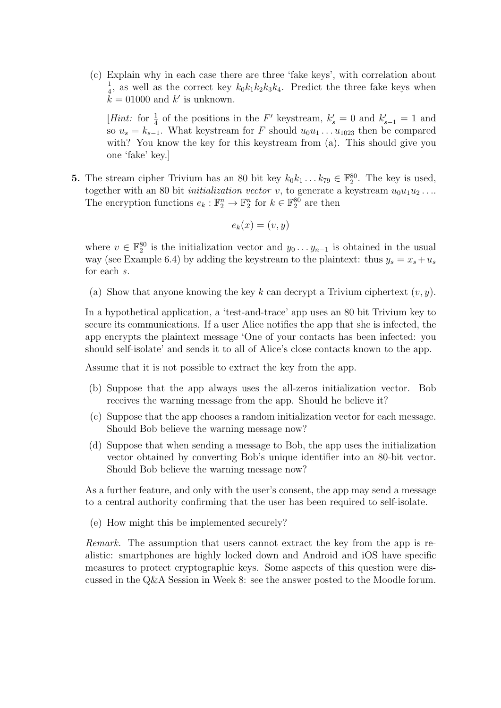(c) Explain why in each case there are three 'fake keys', with correlation about 1  $\frac{1}{4}$ , as well as the correct key  $k_0k_1k_2k_3k_4$ . Predict the three fake keys when  $k = 01000$  and  $k'$  is unknown.

[*Hint*: for  $\frac{1}{4}$  of the positions in the F' keystream,  $k'_s = 0$  and  $k'_{s-1} = 1$  and so  $u_s = k_{s-1}$ . What keystream for F should  $u_0u_1 \ldots u_{1023}$  then be compared with? You know the key for this keystream from (a). This should give you one 'fake' key.]

**5.** The stream cipher Trivium has an 80 bit key  $k_0k_1...k_{79} \in \mathbb{F}_2^{80}$ . The key is used, together with an 80 bit *initialization vector* v, to generate a keystream  $u_0u_1u_2 \ldots$ The encryption functions  $e_k : \mathbb{F}_2^n \to \mathbb{F}_2^n$  for  $k \in \mathbb{F}_2^{80}$  are then

$$
e_k(x) = (v, y)
$$

where  $v \in \mathbb{F}_2^{80}$  is the initialization vector and  $y_0 \ldots y_{n-1}$  is obtained in the usual way (see Example 6.4) by adding the keystream to the plaintext: thus  $y_s = x_s + u_s$ for each s.

(a) Show that anyone knowing the key k can decrypt a Trivium ciphertext  $(v, y)$ .

In a hypothetical application, a 'test-and-trace' app uses an 80 bit Trivium key to secure its communications. If a user Alice notifies the app that she is infected, the app encrypts the plaintext message 'One of your contacts has been infected: you should self-isolate' and sends it to all of Alice's close contacts known to the app.

Assume that it is not possible to extract the key from the app.

- (b) Suppose that the app always uses the all-zeros initialization vector. Bob receives the warning message from the app. Should he believe it?
- (c) Suppose that the app chooses a random initialization vector for each message. Should Bob believe the warning message now?
- (d) Suppose that when sending a message to Bob, the app uses the initialization vector obtained by converting Bob's unique identifier into an 80-bit vector. Should Bob believe the warning message now?

As a further feature, and only with the user's consent, the app may send a message to a central authority confirming that the user has been required to self-isolate.

(e) How might this be implemented securely?

Remark. The assumption that users cannot extract the key from the app is realistic: smartphones are highly locked down and Android and iOS have specific measures to protect cryptographic keys. Some aspects of this question were discussed in the Q&A Session in Week 8: see the answer posted to the Moodle forum.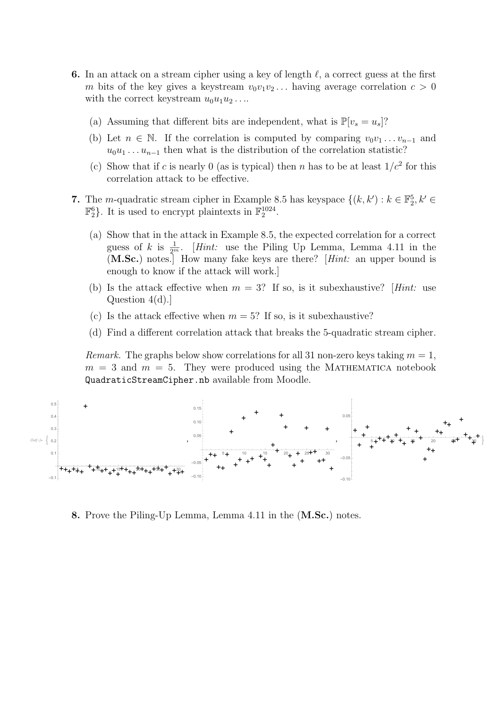- 6. In an attack on a stream cipher using a key of length  $\ell$ , a correct guess at the first m bits of the key gives a keystream  $v_0v_1v_2...$  having average correlation  $c > 0$ with the correct keystream  $u_0u_1u_2 \ldots$ 
	- (a) Assuming that different bits are independent, what is  $\mathbb{P}[v_s = u_s]$ ?
	- (b) Let  $n \in \mathbb{N}$ . If the correlation is computed by comparing  $v_0v_1 \ldots v_{n-1}$  and  $u_0u_1 \ldots u_{n-1}$  then what is the distribution of the correlation statistic?
	- (c) Show that if c is nearly 0 (as is typical) then n has to be at least  $1/c^2$  for this correlation attack to be effective.
- 7. The m-quadratic stream cipher in Example 8.5 has keyspace  $\{(k, k'): k \in \mathbb{F}_2^5, k' \in \mathbb{F}_2^5, k''\}$  $\mathbb{F}_2^6$ . It is used to encrypt plaintexts in  $\mathbb{F}_2^{1024}$ .
	- (a) Show that in the attack in Example 8.5, the expected correlation for a correct guess of k is  $\frac{1}{2^m}$ . [Hint: use the Piling Up Lemma, Lemma 4.11 in the (M.Sc.) notes.] How many fake keys are there? [Hint: an upper bound is enough to know if the attack will work.]
	- (b) Is the attack effective when  $m = 3$ ? If so, is it subexhaustive? [Hint: use Question 4(d).]
	- (c) Is the attack effective when  $m = 5$ ? If so, is it subexhaustive?
	- (d) Find a different correlation attack that breaks the 5-quadratic stream cipher.

Remark. The graphs below show correlations for all 31 non-zero keys taking  $m = 1$ ,  $m = 3$  and  $m = 5$ . They were produced using the MATHEMATICA notebook QuadraticStreamCipher.nb available from Moodle.



8. Prove the Piling-Up Lemma, Lemma 4.11 in the (M.Sc.) notes.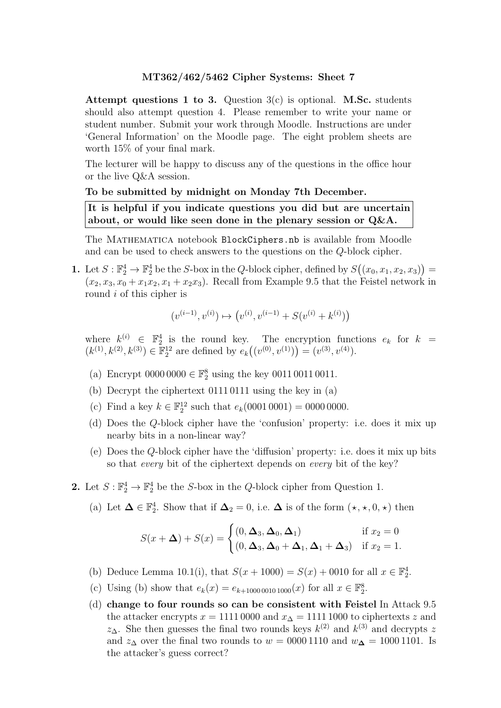Attempt questions 1 to 3. Question  $3(c)$  is optional. M.Sc. students should also attempt question 4. Please remember to write your name or student number. Submit your work through Moodle. Instructions are under 'General Information' on the Moodle page. The eight problem sheets are worth 15% of your final mark.

The lecturer will be happy to discuss any of the questions in the office hour or the live Q&A session.

#### To be submitted by midnight on Monday 7th December.

It is helpful if you indicate questions you did but are uncertain about, or would like seen done in the plenary session or  $Q\&A$ .

The MATHEMATICA notebook BlockCiphers.nb is available from Moodle and can be used to check answers to the questions on the Q-block cipher.

1. Let  $S : \mathbb{F}_2^4 \to \mathbb{F}_2^4$  be the S-box in the Q-block cipher, defined by  $S((x_0, x_1, x_2, x_3)) =$  $(x_2, x_3, x_0 + x_1x_2, x_1 + x_2x_3)$ . Recall from Example 9.5 that the Feistel network in round *i* of this cipher is

$$
(v^{(i-1)}, v^{(i)}) \mapsto (v^{(i)}, v^{(i-1)} + S(v^{(i)} + k^{(i)}))
$$

where  $k^{(i)} \in \mathbb{F}_2^4$  is the round key. The encryption functions  $e_k$  for  $k = k^{(i)} \cdot k^{(i)}$  $(k^{(1)}, k^{(2)}, k^{(3)}) \in \mathbb{F}_2^{12}$  are defined by  $e_k((v^{(0)}, v^{(1)})) = (v^{(3)}, v^{(4)})$ .

- (a) Encrypt  $0000\,0000 \in \mathbb{F}_2^8$  using the key  $0011\,0011\,0011$ .
- (b) Decrypt the ciphertext 0111 0111 using the key in (a)
- (c) Find a key  $k \in \mathbb{F}_2^{12}$  such that  $e_k(0001\,0001) = 0000\,0000$ .
- (d) Does the Q-block cipher have the 'confusion' property: i.e. does it mix up nearby bits in a non-linear way?
- (e) Does the Q-block cipher have the 'diffusion' property: i.e. does it mix up bits so that every bit of the ciphertext depends on every bit of the key?
- **2.** Let  $S: \mathbb{F}_2^4 \to \mathbb{F}_2^4$  be the S-box in the Q-block cipher from Question 1.
	- (a) Let  $\Delta \in \mathbb{F}_2^4$ . Show that if  $\Delta_2 = 0$ , i.e.  $\Delta$  is of the form  $(\star, \star, 0, \star)$  then

$$
S(x + \Delta) + S(x) = \begin{cases} (0, \Delta_3, \Delta_0, \Delta_1) & \text{if } x_2 = 0\\ (0, \Delta_3, \Delta_0 + \Delta_1, \Delta_1 + \Delta_3) & \text{if } x_2 = 1. \end{cases}
$$

- (b) Deduce Lemma 10.1(i), that  $S(x + 1000) = S(x) + 0010$  for all  $x \in \mathbb{F}_2^4$ .
- (c) Using (b) show that  $e_k(x) = e_{k+100000101000}(x)$  for all  $x \in \mathbb{F}_2^8$ .
- (d) change to four rounds so can be consistent with Feistel In Attack 9.5 the attacker encrypts  $x = 1111 0000$  and  $x<sub>Δ</sub> = 1111 1000$  to ciphertexts z and  $z_{\Delta}$ . She then guesses the final two rounds keys  $k^{(2)}$  and  $k^{(3)}$  and decrypts z and  $z_\Delta$  over the final two rounds to  $w = 00001110$  and  $w_\Delta = 10001101$ . Is the attacker's guess correct?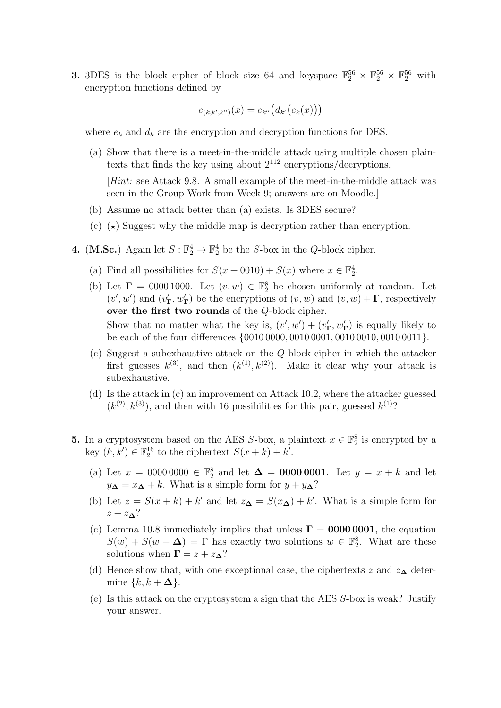**3.** 3DES is the block cipher of block size 64 and keyspace  $\mathbb{F}_2^{56} \times \mathbb{F}_2^{56} \times \mathbb{F}_2^{56}$  with encryption functions defined by

$$
e_{(k,k',k'')}(x) = e_{k''}\big(d_{k'}\big(e_k(x)\big)\big)
$$

where  $e_k$  and  $d_k$  are the encryption and decryption functions for DES.

(a) Show that there is a meet-in-the-middle attack using multiple chosen plaintexts that finds the key using about  $2^{112}$  encryptions/decryptions.

[Hint: see Attack 9.8. A small example of the meet-in-the-middle attack was seen in the Group Work from Week 9; answers are on Moodle.]

- (b) Assume no attack better than (a) exists. Is 3DES secure?
- (c)  $(\star)$  Suggest why the middle map is decryption rather than encryption.
- **4.** (**M.Sc.**) Again let  $S : \mathbb{F}_2^4 \to \mathbb{F}_2^4$  be the S-box in the Q-block cipher.
	- (a) Find all possibilities for  $S(x + 0010) + S(x)$  where  $x \in \mathbb{F}_2^4$ .
	- (b) Let  $\Gamma = 00001000$ . Let  $(v, w) \in \mathbb{F}_2^8$  be chosen uniformly at random. Let  $(v', w')$  and  $(v'_{\mathbf{\Gamma}}, w'_{\mathbf{\Gamma}})$  be the encryptions of  $(v, w)$  and  $(v, w) + \Gamma$ , respectively over the first two rounds of the Q-block cipher. Show that no matter what the key is,  $(v', w') + (v'_{\mathbf{\Gamma}}, w'_{\mathbf{\Gamma}})$  is equally likely to be each of the four differences {0010 0000, 0010 0001, 0010 0010, 0010 0011}.
	- (c) Suggest a subexhaustive attack on the Q-block cipher in which the attacker first guesses  $k^{(3)}$ , and then  $(k^{(1)}, k^{(2)})$ . Make it clear why your attack is subexhaustive.
	- (d) Is the attack in (c) an improvement on Attack 10.2, where the attacker guessed  $(k^{(2)}, k^{(3)})$ , and then with 16 possibilities for this pair, guessed  $k^{(1)}$ ?
- **5.** In a cryptosystem based on the AES S-box, a plaintext  $x \in \mathbb{F}_2^8$  is encrypted by a key  $(k, k') \in \mathbb{F}_2^{16}$  to the ciphertext  $S(x + k) + k'$ .
	- (a) Let  $x = 00000000 \in \mathbb{F}_2^8$  and let  $\Delta = 00000001$ . Let  $y = x + k$  and let  $y\Delta = x\Delta + k$ . What is a simple form for  $y + y\Delta$ ?
	- (b) Let  $z = S(x + k) + k'$  and let  $z_{\mathbf{\Delta}} = S(x_{\mathbf{\Delta}}) + k'$ . What is a simple form for  $z + z_{\mathbf{\Delta}}$ ?
	- (c) Lemma 10.8 immediately implies that unless  $\Gamma = 00000001$ , the equation  $S(w) + S(w + \Delta) = \Gamma$  has exactly two solutions  $w \in \mathbb{F}_2^8$ . What are these solutions when  $\Gamma = z + z_{\mathbf{\Delta}}$ ?
	- (d) Hence show that, with one exceptional case, the ciphertexts z and  $z_{\mathbf{\Delta}}$  determine  $\{k, k + \Delta\}.$
	- (e) Is this attack on the cryptosystem a sign that the AES S-box is weak? Justify your answer.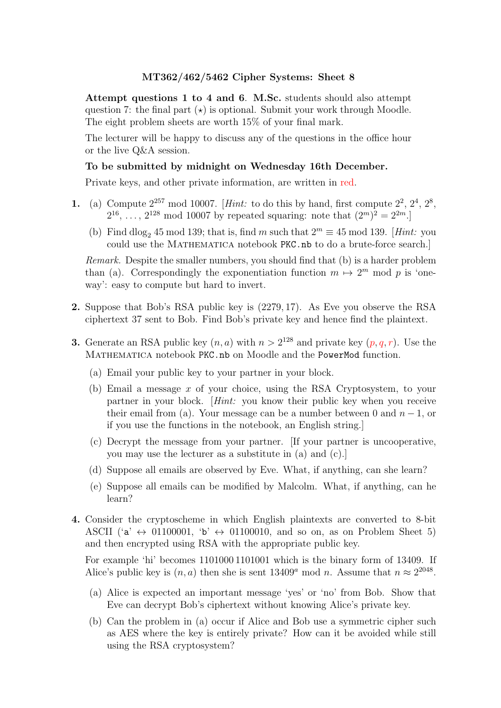Attempt questions 1 to 4 and 6. M.Sc. students should also attempt question 7: the final part  $(\star)$  is optional. Submit your work through Moodle. The eight problem sheets are worth 15% of your final mark.

The lecturer will be happy to discuss any of the questions in the office hour or the live Q&A session.

#### To be submitted by midnight on Wednesday 16th December.

Private keys, and other private information, are written in red.

- 1. (a) Compute  $2^{257}$  mod 10007. [Hint: to do this by hand, first compute  $2^2$ ,  $2^4$ ,  $2^8$ ,  $2^{16}, \ldots, 2^{128} \text{ mod } 10007$  by repeated squaring: note that  $(2^m)^2 = 2^{2m}$ .
	- (b) Find dlog<sub>2</sub> 45 mod 139; that is, find m such that  $2^m \equiv 45 \mod 139$ . [Hint: you could use the MATHEMATICA notebook PKC.nb to do a brute-force search.

Remark. Despite the smaller numbers, you should find that (b) is a harder problem than (a). Correspondingly the exponentiation function  $m \mapsto 2^m \mod p$  is 'oneway': easy to compute but hard to invert.

- 2. Suppose that Bob's RSA public key is (2279, 17). As Eve you observe the RSA ciphertext 37 sent to Bob. Find Bob's private key and hence find the plaintext.
- **3.** Generate an RSA public key  $(n, a)$  with  $n > 2^{128}$  and private key  $(p, q, r)$ . Use the Mathematica notebook PKC.nb on Moodle and the PowerMod function.
	- (a) Email your public key to your partner in your block.
	- (b) Email a message x of your choice, using the RSA Cryptosystem, to your partner in your block. [Hint: you know their public key when you receive their email from (a). Your message can be a number between 0 and  $n-1$ , or if you use the functions in the notebook, an English string.]
	- (c) Decrypt the message from your partner. [If your partner is uncooperative, you may use the lecturer as a substitute in (a) and (c).]
	- (d) Suppose all emails are observed by Eve. What, if anything, can she learn?
	- (e) Suppose all emails can be modified by Malcolm. What, if anything, can he learn?
- 4. Consider the cryptoscheme in which English plaintexts are converted to 8-bit ASCII ( $a' \leftrightarrow 01100001$ ,  $b' \leftrightarrow 01100010$ , and so on, as on Problem Sheet 5) and then encrypted using RSA with the appropriate public key.

For example 'hi' becomes 1101000 1101001 which is the binary form of 13409. If Alice's public key is  $(n, a)$  then she is sent 13409<sup>*a*</sup> mod *n*. Assume that  $n \approx 2^{2048}$ .

- (a) Alice is expected an important message 'yes' or 'no' from Bob. Show that Eve can decrypt Bob's ciphertext without knowing Alice's private key.
- (b) Can the problem in (a) occur if Alice and Bob use a symmetric cipher such as AES where the key is entirely private? How can it be avoided while still using the RSA cryptosystem?